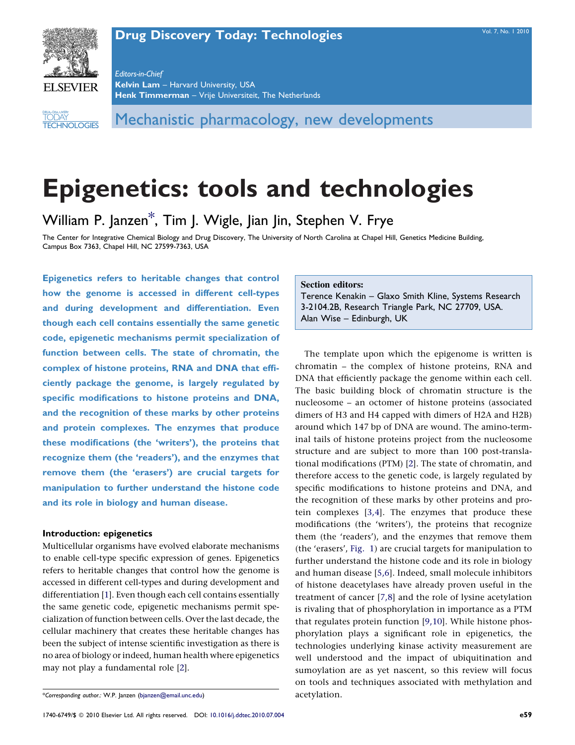# **[Drug Discovery Today: Technologies](http://dx.doi.org/10.1016/j.ddtec.2010.07.004)** [Vol. 7, No. 1 2010](http://dx.doi.org/10.1016/j.ddtec.2010.07.004)



Editors-in-Chief Kelvin Lam - Harvard University, USA Henk Timmerman - Vrije Universiteit, The Netherlands

TECHNOLOGIES **DRUG DISCOVERY** TODAY

Mechanistic pharmacology, new developments

# Epigenetics: tools and technologies

William P. Janzen\*, Tim J. Wigle, Jian Jin, Stephen V. Frye

The Center for Integrative Chemical Biology and Drug Discovery, The University of North Carolina at Chapel Hill, Genetics Medicine Building, Campus Box 7363, Chapel Hill, NC 27599-7363, USA

Epigenetics refers to heritable changes that control how the genome is accessed in different cell-types and during development and differentiation. Even though each cell contains essentially the same genetic code, epigenetic mechanisms permit specialization of function between cells. The state of chromatin, the complex of histone proteins, RNA and DNA that efficiently package the genome, is largely regulated by specific modifications to histone proteins and DNA, and the recognition of these marks by other proteins and protein complexes. The enzymes that produce these modifications (the 'writers'), the proteins that recognize them (the 'readers'), and the enzymes that remove them (the 'erasers') are crucial targets for manipulation to further understand the histone code and its role in biology and human disease.

### Introduction: epigenetics

Multicellular organisms have evolved elaborate mechanisms to enable cell-type specific expression of genes. Epigenetics refers to heritable changes that control how the genome is accessed in different cell-types and during development and differentiation [\[1](#page-5-0)]. Even though each cell contains essentially the same genetic code, epigenetic mechanisms permit specialization of function between cells. Over the last decade, the cellular machinery that creates these heritable changes has been the subject of intense scientific investigation as there is no area of biology or indeed, human health where epigenetics may not play a fundamental role [\[2](#page-5-0)].

#### Section editors:

Terence Kenakin – Glaxo Smith Kline, Systems Research 3-2104.2B, Research Triangle Park, NC 27709, USA. Alan Wise – Edinburgh, UK

The template upon which the epigenome is written is chromatin – the complex of histone proteins, RNA and DNA that efficiently package the genome within each cell. The basic building block of chromatin structure is the nucleosome – an octomer of histone proteins (associated dimers of H3 and H4 capped with dimers of H2A and H2B) around which 147 bp of DNA are wound. The amino-terminal tails of histone proteins project from the nucleosome structure and are subject to more than 100 post-translational modifications (PTM) [\[2](#page-5-0)]. The state of chromatin, and therefore access to the genetic code, is largely regulated by specific modifications to histone proteins and DNA, and the recognition of these marks by other proteins and protein complexes [\[3,4\]](#page-5-0). The enzymes that produce these modifications (the 'writers'), the proteins that recognize them (the 'readers'), and the enzymes that remove them (the 'erasers', [Fig. 1](#page-1-0)) are crucial targets for manipulation to further understand the histone code and its role in biology and human disease [[5,6](#page-5-0)]. Indeed, small molecule inhibitors of histone deacetylases have already proven useful in the treatment of cancer [\[7,8](#page-5-0)] and the role of lysine acetylation is rivaling that of phosphorylation in importance as a PTM that regulates protein function [[9,10](#page-5-0)]. While histone phosphorylation plays a significant role in epigenetics, the technologies underlying kinase activity measurement are well understood and the impact of ubiquitination and sumoylation are as yet nascent, so this review will focus on tools and techniques associated with methylation and acetylation.

<sup>\*</sup>Corresponding author.: W.P. Janzen [\(bjanzen@email.unc.edu\)](mailto:bjanzen@email.unc.edu)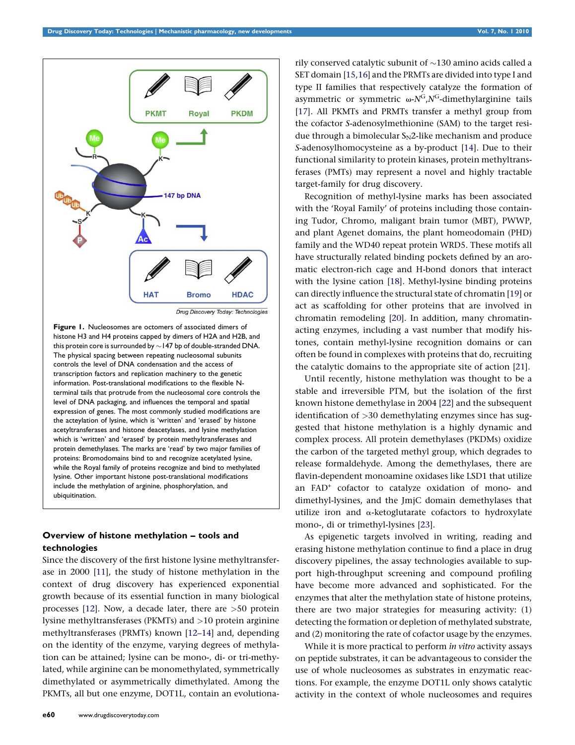<span id="page-1-0"></span>

Drug Discovery Today: Technologies

Figure 1. Nucleosomes are octomers of associated dimers of histone H3 and H4 proteins capped by dimers of H2A and H2B, and this protein core is surrounded by  $\sim$  147 bp of double-stranded DNA. The physical spacing between repeating nucleosomal subunits controls the level of DNA condensation and the access of transcription factors and replication machinery to the genetic information. Post-translational modifications to the flexible Nterminal tails that protrude from the nucleosomal core controls the level of DNA packaging, and influences the temporal and spatial expression of genes. The most commonly studied modifications are the acteylation of lysine, which is 'written' and 'erased' by histone acetyltransferases and histone deacetylases, and lysine methylation which is 'written' and 'erased' by protein methyltransferases and protein demethylases. The marks are 'read' by two major families of proteins: Bromodomains bind to and recognize acetylated lysine, while the Royal family of proteins recognize and bind to methylated lysine. Other important histone post-translational modifications include the methylation of arginine, phosphorylation, and ubiquitination.

# Overview of histone methylation – tools and technologies

Since the discovery of the first histone lysine methyltransferase in 2000 [[11\]](#page-5-0), the study of histone methylation in the context of drug discovery has experienced exponential growth because of its essential function in many biological processes [[12](#page-5-0)]. Now, a decade later, there are  $>50$  protein lysine methyltransferases (PKMTs) and >10 protein arginine methyltransferases (PRMTs) known [\[12–14](#page-5-0)] and, depending on the identity of the enzyme, varying degrees of methylation can be attained; lysine can be mono-, di- or tri-methylated, while arginine can be monomethylated, symmetrically dimethylated or asymmetrically dimethylated. Among the PKMTs, all but one enzyme, DOT1L, contain an evolutiona-

rily conserved catalytic subunit of  $\sim\!\!130$  amino acids called a SET domain [[15,16\]](#page-5-0) and the PRMTs are divided into type I and type II families that respectively catalyze the formation of asymmetric or symmetric  $\omega$ -N<sup>G</sup>,N<sup>G</sup>-dimethylarginine tails [[17\]](#page-5-0). All PKMTs and PRMTs transfer a methyl group from the cofactor S-adenosylmethionine (SAM) to the target residue through a bimolecular  $S_N2$ -like mechanism and produce S-adenosylhomocysteine as a by-product [\[14\]](#page-5-0). Due to their functional similarity to protein kinases, protein methyltransferases (PMTs) may represent a novel and highly tractable target-family for drug discovery.

Recognition of methyl-lysine marks has been associated with the 'Royal Family' of proteins including those containing Tudor, Chromo, maligant brain tumor (MBT), PWWP, and plant Agenet domains, the plant homeodomain (PHD) family and the WD40 repeat protein WRD5. These motifs all have structurally related binding pockets defined by an aromatic electron-rich cage and H-bond donors that interact with the lysine cation [[18\]](#page-5-0). Methyl-lysine binding proteins can directly influence the structural state of chromatin [\[19](#page-5-0)] or act as scaffolding for other proteins that are involved in chromatin remodeling [\[20\]](#page-5-0). In addition, many chromatinacting enzymes, including a vast number that modify histones, contain methyl-lysine recognition domains or can often be found in complexes with proteins that do, recruiting the catalytic domains to the appropriate site of action [\[21\]](#page-5-0).

Until recently, histone methylation was thought to be a stable and irreversible PTM, but the isolation of the first known histone demethylase in 2004 [[22\]](#page-5-0) and the subsequent identification of >30 demethylating enzymes since has suggested that histone methylation is a highly dynamic and complex process. All protein demethylases (PKDMs) oxidize the carbon of the targeted methyl group, which degrades to release formaldehyde. Among the demethylases, there are flavin-dependent monoamine oxidases like LSD1 that utilize an FAD+ cofactor to catalyze oxidation of mono- and dimethyl-lysines, and the JmjC domain demethylases that utilize iron and  $\alpha$ -ketoglutarate cofactors to hydroxylate mono-, di or trimethyl-lysines [[23](#page-5-0)].

As epigenetic targets involved in writing, reading and erasing histone methylation continue to find a place in drug discovery pipelines, the assay technologies available to support high-throughput screening and compound profiling have become more advanced and sophisticated. For the enzymes that alter the methylation state of histone proteins, there are two major strategies for measuring activity: (1) detecting the formation or depletion of methylated substrate, and (2) monitoring the rate of cofactor usage by the enzymes.

While it is more practical to perform in vitro activity assays on peptide substrates, it can be advantageous to consider the use of whole nucleosomes as substrates in enzymatic reactions. For example, the enzyme DOT1L only shows catalytic activity in the context of whole nucleosomes and requires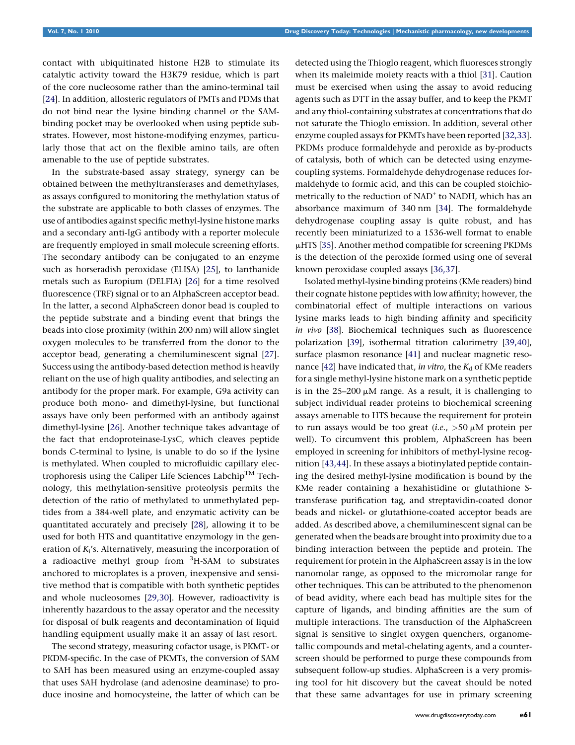contact with ubiquitinated histone H2B to stimulate its catalytic activity toward the H3K79 residue, which is part of the core nucleosome rather than the amino-terminal tail [\[24\]](#page-5-0). In addition, allosteric regulators of PMTs and PDMs that do not bind near the lysine binding channel or the SAMbinding pocket may be overlooked when using peptide substrates. However, most histone-modifying enzymes, particularly those that act on the flexible amino tails, are often amenable to the use of peptide substrates.

In the substrate-based assay strategy, synergy can be obtained between the methyltransferases and demethylases, as assays configured to monitoring the methylation status of the substrate are applicable to both classes of enzymes. The use of antibodies against specific methyl-lysine histone marks and a secondary anti-IgG antibody with a reporter molecule are frequently employed in small molecule screening efforts. The secondary antibody can be conjugated to an enzyme such as horseradish peroxidase (ELISA) [[25\]](#page-5-0), to lanthanide metals such as Europium (DELFIA) [\[26](#page-5-0)] for a time resolved fluorescence (TRF) signal or to an AlphaScreen acceptor bead. In the latter, a second AlphaScreen donor bead is coupled to the peptide substrate and a binding event that brings the beads into close proximity (within 200 nm) will allow singlet oxygen molecules to be transferred from the donor to the acceptor bead, generating a chemiluminescent signal [[27](#page-5-0)]. Success using the antibody-based detection method is heavily reliant on the use of high quality antibodies, and selecting an antibody for the proper mark. For example, G9a activity can produce both mono- and dimethyl-lysine, but functional assays have only been performed with an antibody against dimethyl-lysine [\[26\]](#page-5-0). Another technique takes advantage of the fact that endoproteinase-LysC, which cleaves peptide bonds C-terminal to lysine, is unable to do so if the lysine is methylated. When coupled to microfluidic capillary electrophoresis using the Caliper Life Sciences Labchip<sup>TM</sup> Technology, this methylation-sensitive proteolysis permits the detection of the ratio of methylated to unmethylated peptides from a 384-well plate, and enzymatic activity can be quantitated accurately and precisely [\[28\]](#page-5-0), allowing it to be used for both HTS and quantitative enzymology in the generation of  $K_i$ 's. Alternatively, measuring the incorporation of a radioactive methyl group from <sup>3</sup>H-SAM to substrates anchored to microplates is a proven, inexpensive and sensitive method that is compatible with both synthetic peptides and whole nucleosomes [[29,30](#page-5-0)]. However, radioactivity is inherently hazardous to the assay operator and the necessity for disposal of bulk reagents and decontamination of liquid handling equipment usually make it an assay of last resort.

The second strategy, measuring cofactor usage, is PKMT- or PKDM-specific. In the case of PKMTs, the conversion of SAM to SAH has been measured using an enzyme-coupled assay that uses SAH hydrolase (and adenosine deaminase) to produce inosine and homocysteine, the latter of which can be detected using the Thioglo reagent, which fluoresces strongly when its maleimide moiety reacts with a thiol [\[31\]](#page-5-0). Caution must be exercised when using the assay to avoid reducing agents such as DTT in the assay buffer, and to keep the PKMT and any thiol-containing substrates at concentrations that do not saturate the Thioglo emission. In addition, several other enzyme coupled assays for PKMTs have been reported [\[32,33](#page-5-0)]. PKDMs produce formaldehyde and peroxide as by-products of catalysis, both of which can be detected using enzymecoupling systems. Formaldehyde dehydrogenase reduces formaldehyde to formic acid, and this can be coupled stoichiometrically to the reduction of NAD<sup>+</sup> to NADH, which has an absorbance maximum of 340 nm [\[34\]](#page-5-0). The formaldehyde dehydrogenase coupling assay is quite robust, and has recently been miniaturized to a 1536-well format to enable  $\mu$ HTS [[35](#page-5-0)]. Another method compatible for screening PKDMs is the detection of the peroxide formed using one of several known peroxidase coupled assays [[36,37\]](#page-5-0).

Isolated methyl-lysine binding proteins (KMe readers) bind their cognate histone peptides with low affinity; however, the combinatorial effect of multiple interactions on various lysine marks leads to high binding affinity and specificity in vivo [[38\]](#page-5-0). Biochemical techniques such as fluorescence polarization [[39](#page-5-0)], isothermal titration calorimetry [\[39,40](#page-5-0)], surface plasmon resonance [[41](#page-5-0)] and nuclear magnetic reso-nance [[42](#page-5-0)] have indicated that, in vitro, the  $K_d$  of KMe readers for a single methyl-lysine histone mark on a synthetic peptide is in the  $25-200 \mu M$  range. As a result, it is challenging to subject individual reader proteins to biochemical screening assays amenable to HTS because the requirement for protein to run assays would be too great (*i.e.*,  $>50 \mu M$  protein per well). To circumvent this problem, AlphaScreen has been employed in screening for inhibitors of methyl-lysine recognition [[43,44\]](#page-5-0). In these assays a biotinylated peptide containing the desired methyl-lysine modification is bound by the KMe reader containing a hexahistidine or glutathione Stransferase purification tag, and streptavidin-coated donor beads and nickel- or glutathione-coated acceptor beads are added. As described above, a chemiluminescent signal can be generated when the beads are brought into proximity due to a binding interaction between the peptide and protein. The requirement for protein in the AlphaScreen assay is in the low nanomolar range, as opposed to the micromolar range for other techniques. This can be attributed to the phenomenon of bead avidity, where each bead has multiple sites for the capture of ligands, and binding affinities are the sum of multiple interactions. The transduction of the AlphaScreen signal is sensitive to singlet oxygen quenchers, organometallic compounds and metal-chelating agents, and a counterscreen should be performed to purge these compounds from subsequent follow-up studies. AlphaScreen is a very promising tool for hit discovery but the caveat should be noted that these same advantages for use in primary screening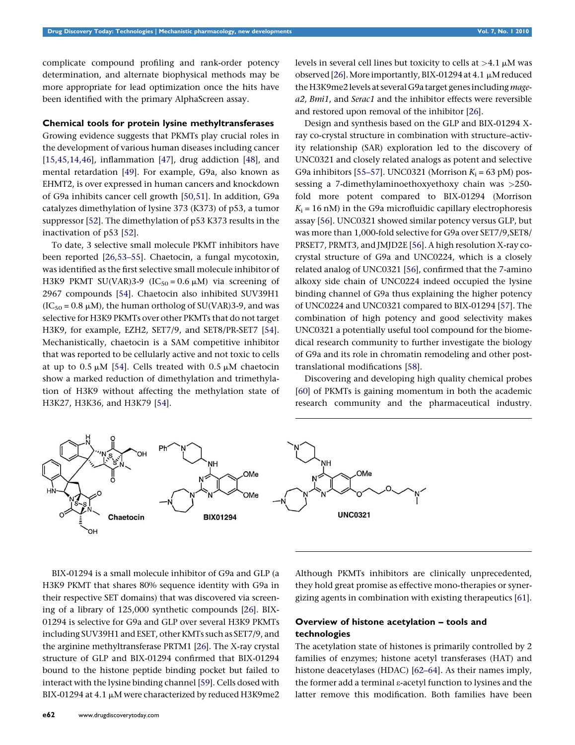complicate compound profiling and rank-order potency determination, and alternate biophysical methods may be more appropriate for lead optimization once the hits have been identified with the primary AlphaScreen assay.

#### Chemical tools for protein lysine methyltransferases

Growing evidence suggests that PKMTs play crucial roles in the development of various human diseases including cancer [\[15,45,14,46](#page-5-0)], inflammation [[47\]](#page-5-0), drug addiction [[48](#page-5-0)], and mental retardation [[49](#page-6-0)]. For example, G9a, also known as EHMT2, is over expressed in human cancers and knockdown of G9a inhibits cancer cell growth [[50,51\]](#page-6-0). In addition, G9a catalyzes dimethylation of lysine 373 (K373) of p53, a tumor suppressor [\[52\]](#page-6-0). The dimethylation of p53 K373 results in the inactivation of p53 [\[52](#page-6-0)].

To date, 3 selective small molecule PKMT inhibitors have been reported [\[26,53–55](#page-5-0)]. Chaetocin, a fungal mycotoxin, was identified as the first selective small molecule inhibitor of H3K9 PKMT SU(VAR)3-9 (IC<sub>50</sub> = 0.6  $\mu$ M) via screening of 2967 compounds [\[54\]](#page-6-0). Chaetocin also inhibited SUV39H1  $(IC<sub>50</sub> = 0.8 \mu M)$ , the human ortholog of SU(VAR)3-9, and was selective for H3K9 PKMTs over other PKMTs that do not target H3K9, for example, EZH2, SET7/9, and SET8/PR-SET7 [[54](#page-6-0)]. Mechanistically, chaetocin is a SAM competitive inhibitor that was reported to be cellularly active and not toxic to cells at up to 0.5  $\mu$ M [[54](#page-6-0)]. Cells treated with 0.5  $\mu$ M chaetocin show a marked reduction of dimethylation and trimethylation of H3K9 without affecting the methylation state of H3K27, H3K36, and H3K79 [\[54](#page-6-0)].

levels in several cell lines but toxicity to cells at  $>4.1 \mu M$  was observed [\[26\]](#page-5-0). More importantly, BIX-01294 at 4.1  $\mu$ M reduced the H3K9me2 levels at several G9a target genes including magea2, Bmi1, and Serac1 and the inhibitor effects were reversible and restored upon removal of the inhibitor [[26\]](#page-5-0).

Design and synthesis based on the GLP and BIX-01294 Xray co-crystal structure in combination with structure–activity relationship (SAR) exploration led to the discovery of UNC0321 and closely related analogs as potent and selective G9a inhibitors [[55–57\]](#page-6-0). UNC0321 (Morrison  $K_i$  = 63 pM) possessing a 7-dimethylaminoethoxyethoxy chain was >250 fold more potent compared to BIX-01294 (Morrison  $K_i = 16$  nM) in the G9a microfluidic capillary electrophoresis assay [\[56](#page-6-0)]. UNC0321 showed similar potency versus GLP, but was more than 1,000-fold selective for G9a over SET7/9,SET8/ PRSET7, PRMT3, and JMJD2E [[56](#page-6-0)]. A high resolution X-ray cocrystal structure of G9a and UNC0224, which is a closely related analog of UNC0321 [[56](#page-6-0)], confirmed that the 7-amino alkoxy side chain of UNC0224 indeed occupied the lysine binding channel of G9a thus explaining the higher potency of UNC0224 and UNC0321 compared to BIX-01294 [\[57](#page-6-0)]. The combination of high potency and good selectivity makes UNC0321 a potentially useful tool compound for the biomedical research community to further investigate the biology of G9a and its role in chromatin remodeling and other posttranslational modifications [\[58\]](#page-6-0).

Discovering and developing high quality chemical probes [[60\]](#page-6-0) of PKMTs is gaining momentum in both the academic research community and the pharmaceutical industry.



Chaetocin

OMe

OMe

**BIX01294** 

Although PKMTs inhibitors are clinically unprecedented, they hold great promise as effective mono-therapies or synergizing agents in combination with existing therapeutics [\[61](#page-6-0)].

# Overview of histone acetylation – tools and technologies

OMe

**UNC0321** 

The acetylation state of histones is primarily controlled by 2 families of enzymes; histone acetyl transferases (HAT) and histone deacetylases (HDAC) [\[62–64](#page-6-0)]. As their names imply, the former add a terminal e-acetyl function to lysines and the latter remove this modification. Both families have been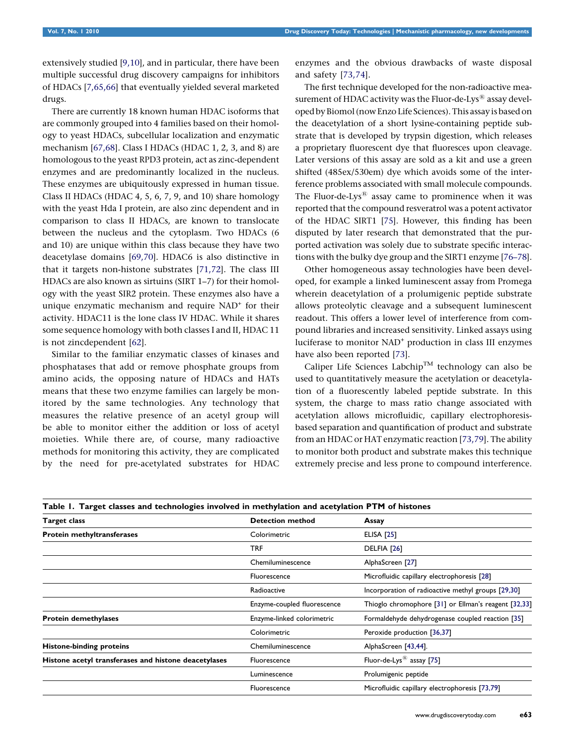<span id="page-4-0"></span>extensively studied [[9,10\]](#page-5-0), and in particular, there have been multiple successful drug discovery campaigns for inhibitors of HDACs [\[7,65,66](#page-5-0)] that eventually yielded several marketed drugs.

There are currently 18 known human HDAC isoforms that are commonly grouped into 4 families based on their homology to yeast HDACs, subcellular localization and enzymatic mechanism [\[67,68\]](#page-6-0). Class I HDACs (HDAC 1, 2, 3, and 8) are homologous to the yeast RPD3 protein, act as zinc-dependent enzymes and are predominantly localized in the nucleus. These enzymes are ubiquitously expressed in human tissue. Class II HDACs (HDAC 4, 5, 6, 7, 9, and 10) share homology with the yeast Hda I protein, are also zinc dependent and in comparison to class II HDACs, are known to translocate between the nucleus and the cytoplasm. Two HDACs (6 and 10) are unique within this class because they have two deacetylase domains [\[69,70](#page-6-0)]. HDAC6 is also distinctive in that it targets non-histone substrates [\[71,72](#page-6-0)]. The class III HDACs are also known as sirtuins (SIRT 1–7) for their homology with the yeast SIR2 protein. These enzymes also have a unique enzymatic mechanism and require NAD<sup>+</sup> for their activity. HDAC11 is the lone class IV HDAC. While it shares some sequence homology with both classes I and II, HDAC 11 is not zincdependent [\[62\]](#page-6-0).

Similar to the familiar enzymatic classes of kinases and phosphatases that add or remove phosphate groups from amino acids, the opposing nature of HDACs and HATs means that these two enzyme families can largely be monitored by the same technologies. Any technology that measures the relative presence of an acetyl group will be able to monitor either the addition or loss of acetyl moieties. While there are, of course, many radioactive methods for monitoring this activity, they are complicated by the need for pre-acetylated substrates for HDAC

enzymes and the obvious drawbacks of waste disposal and safety [[73,74](#page-6-0)].

The first technique developed for the non-radioactive measurement of HDAC activity was the Fluor-de-Lys $^{\circledR}$  assay developed by Biomol (now Enzo Life Sciences). This assay is based on the deacetylation of a short lysine-containing peptide substrate that is developed by trypsin digestion, which releases a proprietary fluorescent dye that fluoresces upon cleavage. Later versions of this assay are sold as a kit and use a green shifted (485ex/530em) dye which avoids some of the interference problems associated with small molecule compounds. The Fluor-de-Lys $^{(8)}$  assay came to prominence when it was reported that the compound resveratrol was a potent activator of the HDAC SIRT1 [\[75](#page-6-0)]. However, this finding has been disputed by later research that demonstrated that the purported activation was solely due to substrate specific interactions with the bulky dye group and the SIRT1 enzyme [76-78].

Other homogeneous assay technologies have been developed, for example a linked luminescent assay from Promega wherein deacetylation of a prolumigenic peptide substrate allows proteolytic cleavage and a subsequent luminescent readout. This offers a lower level of interference from compound libraries and increased sensitivity. Linked assays using luciferase to monitor NAD+ production in class III enzymes have also been reported [\[73\]](#page-6-0).

Caliper Life Sciences Labchip<sup>TM</sup> technology can also be used to quantitatively measure the acetylation or deacetylation of a fluorescently labeled peptide substrate. In this system, the charge to mass ratio change associated with acetylation allows microfluidic, capillary electrophoresisbased separation and quantification of product and substrate from an HDAC or HAT enzymatic reaction [\[73,79\]](#page-6-0). The ability to monitor both product and substrate makes this technique extremely precise and less prone to compound interference.

| Table 1. Target classes and technologies involved in methylation and acetylation PTM of histones |                             |                                                      |
|--------------------------------------------------------------------------------------------------|-----------------------------|------------------------------------------------------|
| <b>Target class</b>                                                                              | <b>Detection method</b>     | Assay                                                |
| Protein methyltransferases                                                                       | Colorimetric                | <b>ELISA [25]</b>                                    |
|                                                                                                  | <b>TRF</b>                  | DELFIA <sub>[26]</sub>                               |
|                                                                                                  | Chemiluminescence           | AlphaScreen [27]                                     |
|                                                                                                  | Fluorescence                | Microfluidic capillary electrophoresis [28]          |
|                                                                                                  | Radioactive                 | Incorporation of radioactive methyl groups [29,30]   |
|                                                                                                  | Enzyme-coupled fluorescence | Thioglo chromophore [31] or Ellman's reagent [32,33] |
| Protein demethylases                                                                             | Enzyme-linked colorimetric  | Formaldehyde dehydrogenase coupled reaction [35]     |
|                                                                                                  | Colorimetric                | Peroxide production [36,37]                          |
| <b>Histone-binding proteins</b>                                                                  | Chemiluminescence           | AlphaScreen [43,44].                                 |
| Histone acetyl transferases and histone deacetylases                                             | Fluorescence                | Fluor-de-Lys <sup>®</sup> assay [75]                 |
|                                                                                                  | Luminescence                | Prolumigenic peptide                                 |
|                                                                                                  | Fluorescence                | Microfluidic capillary electrophoresis [73,79]       |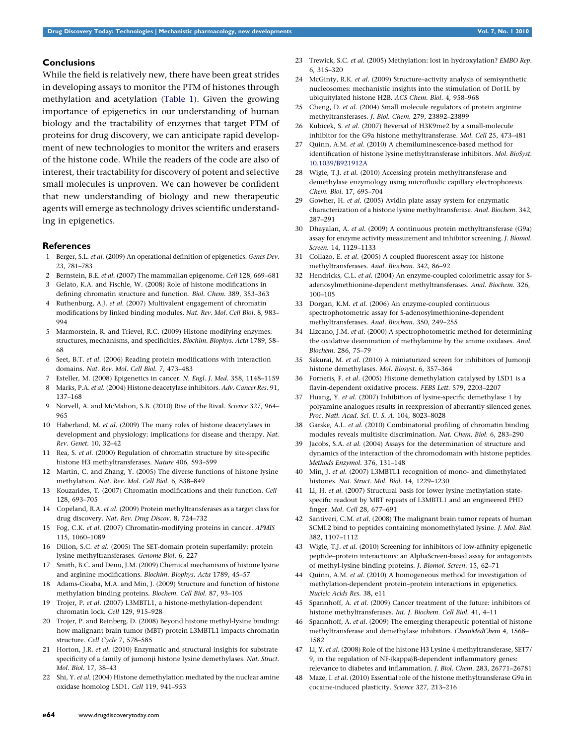## <span id="page-5-0"></span>Conclusions

While the field is relatively new, there have been great strides in developing assays to monitor the PTM of histones through methylation and acetylation ([Table 1\)](#page-4-0). Given the growing importance of epigenetics in our understanding of human biology and the tractability of enzymes that target PTM of proteins for drug discovery, we can anticipate rapid development of new technologies to monitor the writers and erasers of the histone code. While the readers of the code are also of interest, their tractability for discovery of potent and selective small molecules is unproven. We can however be confident that new understanding of biology and new therapeutic agents will emerge as technology drives scientific understanding in epigenetics.

#### **References**

- 1 Berger, S.L. et al. (2009) An operational definition of epigenetics. Genes Dev. 23, 781–783
- 2 Bernstein, B.E. et al. (2007) The mammalian epigenome. Cell 128, 669–681 3 Gelato, K.A. and Fischle, W. (2008) Role of histone modifications in defining chromatin structure and function. Biol. Chem. 389, 353–363
- 4 Ruthenburg, A.J. et al. (2007) Multivalent engagement of chromatin modifications by linked binding modules. Nat. Rev. Mol. Cell Biol. 8, 983– 994
- 5 Marmorstein, R. and Trievel, R.C. (2009) Histone modifying enzymes: structures, mechanisms, and specificities. Biochim. Biophys. Acta 1789, 58– 68
- 6 Seet, B.T. et al. (2006) Reading protein modifications with interaction domains. Nat. Rev. Mol. Cell Biol. 7, 473–483
- 7 Esteller, M. (2008) Epigenetics in cancer. N. Engl. J. Med. 358, 1148–1159
- 8 Marks, P.A. et al. (2004) Histone deacetylase inhibitors. Adv. Cancer Res. 91, 137–168
- 9 Norvell, A. and McMahon, S.B. (2010) Rise of the Rival. Science 327, 964– 965
- 10 Haberland, M. et al. (2009) The many roles of histone deacetylases in development and physiology: implications for disease and therapy. Nat. Rev. Genet. 10, 32–42
- 11 Rea, S. et al. (2000) Regulation of chromatin structure by site-specific histone H3 methyltransferases. Nature 406, 593–599
- Martin, C. and Zhang, Y. (2005) The diverse functions of histone lysine methylation. Nat. Rev. Mol. Cell Biol. 6, 838–849
- 13 Kouzarides, T. (2007) Chromatin modifications and their function. Cell 128, 693–705
- 14 Copeland, R.A. et al. (2009) Protein methyltransferases as a target class for drug discovery. Nat. Rev. Drug Discov. 8, 724–732
- 15 Fog, C.K. et al. (2007) Chromatin-modifying proteins in cancer. APMIS 115, 1060–1089
- 16 Dillon, S.C. et al. (2005) The SET-domain protein superfamily: protein lysine methyltransferases. Genome Biol. 6, 227
- 17 Smith, B.C. and Denu, J.M. (2009) Chemical mechanisms of histone lysine and arginine modifications. Biochim. Biophys. Acta 1789, 45–57
- 18 Adams-Cioaba, M.A. and Min, J. (2009) Structure and function of histone methylation binding proteins. Biochem. Cell Biol. 87, 93–105
- 19 Trojer, P. et al. (2007) L3MBTL1, a histone-methylation-dependent chromatin lock. Cell 129, 915–928
- 20 Trojer, P. and Reinberg, D. (2008) Beyond histone methyl-lysine binding: how malignant brain tumor (MBT) protein L3MBTL1 impacts chromatin structure. Cell Cycle 7, 578–585
- 21 Horton, J.R. et al. (2010) Enzymatic and structural insights for substrate specificity of a family of jumonji histone lysine demethylases. Nat. Struct. Mol. Biol. 17, 38–43
- 22 Shi, Y. et al. (2004) Histone demethylation mediated by the nuclear amine oxidase homolog LSD1. Cell 119, 941–953
- 23 Trewick, S.C. et al. (2005) Methylation: lost in hydroxylation? EMBO Rep. 6, 315–320
- 24 McGinty, R.K. et al. (2009) Structure–activity analysis of semisynthetic nucleosomes: mechanistic insights into the stimulation of Dot1L by ubiquitylated histone H2B. ACS Chem. Biol. 4, 958–968
- 25 Cheng, D. et al. (2004) Small molecule regulators of protein arginine methyltransferases. J. Biol. Chem. 279, 23892–23899
- 26 Kubicek, S. et al. (2007) Reversal of H3K9me2 by a small-molecule inhibitor for the G9a histone methyltransferase. Mol. Cell 25, 473–481
- 27 Quinn, A.M. et al. (2010) A chemiluminescence-based method for identification of histone lysine methyltransferase inhibitors. Mol. BioSyst. [10.1039/B921912A](http://dx.doi.org/10.1039/B921912A)
- 28 Wigle, T.J. et al. (2010) Accessing protein methyltransferase and demethylase enzymology using microfluidic capillary electrophoresis. Chem. Biol. 17, 695–704
- 29 Gowher, H. et al. (2005) Avidin plate assay system for enzymatic characterization of a histone lysine methyltransferase. Anal. Biochem. 342, 287–291
- 30 Dhayalan, A. et al. (2009) A continuous protein methyltransferase (G9a) assay for enzyme activity measurement and inhibitor screening. J. Biomol. Screen. 14, 1129–1133
- 31 Collazo, E. et al. (2005) A coupled fluorescent assay for histone methyltransferases. Anal. Biochem. 342, 86–92
- 32 Hendricks, C.L. et al. (2004) An enzyme-coupled colorimetric assay for Sadenosylmethionine-dependent methyltransferases. Anal. Biochem. 326, 100–105
- 33 Dorgan, K.M. et al. (2006) An enzyme-coupled continuous spectrophotometric assay for S-adenosylmethionine-dependent methyltransferases. Anal. Biochem. 350, 249–255
- 34 Lizcano, J.M. et al. (2000) A spectrophotometric method for determining the oxidative deamination of methylamine by the amine oxidases. Anal. Biochem. 286, 75–79
- 35 Sakurai, M. et al. (2010) A miniaturized screen for inhibitors of Jumonji histone demethylases. Mol. Biosyst. 6, 357–364
- 36 Forneris, F. et al. (2005) Histone demethylation catalysed by LSD1 is a flavin-dependent oxidative process. FEBS Lett. 579, 2203–2207
- 37 Huang, Y. et al. (2007) Inhibition of lysine-specific demethylase 1 by polyamine analogues results in reexpression of aberrantly silenced genes. Proc. Natl. Acad. Sci. U. S. A. 104, 8023–8028
- 38 Garske, A.L. et al. (2010) Combinatorial profiling of chromatin binding modules reveals multisite discrimination. Nat. Chem. Biol. 6, 283–290
- 39 Jacobs, S.A. et al. (2004) Assays for the determination of structure and dynamics of the interaction of the chromodomain with histone peptides. Methods Enzymol. 376, 131–148
- 40 Min, J. et al. (2007) L3MBTL1 recognition of mono- and dimethylated histones. Nat. Struct. Mol. Biol. 14, 1229–1230
- 41 Li, H. et al. (2007) Structural basis for lower lysine methylation statespecific readout by MBT repeats of L3MBTL1 and an engineered PHD finger. Mol. Cell 28, 677–691
- 42 Santiveri, C.M. et al. (2008) The malignant brain tumor repeats of human SCML2 bind to peptides containing monomethylated lysine. J. Mol. Biol. 382, 1107–1112
- 43 Wigle, T.J. et al. (2010) Screening for inhibitors of low-affinity epigenetic peptide–protein interactions: an AlphaScreen-based assay for antagonists of methyl-lysine binding proteins. J. Biomol. Screen. 15, 62–71
- 44 Quinn, A.M. et al. (2010) A homogeneous method for investigation of methylation-dependent protein–protein interactions in epigenetics. Nucleic Acids Res. 38, e11
- 45 Spannhoff, A. et al. (2009) Cancer treatment of the future: inhibitors of histone methyltransferases. Int. J. Biochem. Cell Biol. 41, 4–11
- 46 Spannhoff, A. et al. (2009) The emerging therapeutic potential of histone methyltransferase and demethylase inhibitors. ChemMedChem 4, 1568– 1582
- 47 Li, Y. et al. (2008) Role of the histone H3 Lysine 4 methyltransferase, SET7/ 9, in the regulation of NF-{kappa}B-dependent inflammatory genes: relevance to diabetes and inflammation. J. Biol. Chem. 283, 26771–26781
- 48 Maze, I. et al. (2010) Essential role of the histone methyltransferase G9a in cocaine-induced plasticity. Science 327, 213–216